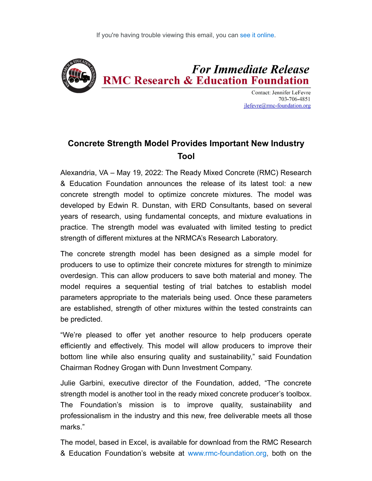

**Contact: Jennifer LeFevre** 703-706-4851  $ilefevre@rmc$ -foundation.org

## **Concrete Strength Model Provides Important New Industry Tool**

Alexandria, VA – May 19, 2022: The Ready Mixed Concrete (RMC) Research & Education Foundation announces the release of its latest tool: a new concrete strength model to optimize concrete mixtures. The model was developed by Edwin R. Dunstan, with ERD Consultants, based on several years of research, using fundamental concepts, and mixture evaluations in practice. The strength model was evaluated with limited testing to predict strength of different mixtures at the NRMCA's Research Laboratory.

The concrete strength model has been designed as a simple model for producers to use to optimize their concrete mixtures for strength to minimize overdesign. This can allow producers to save both material and money. The model requires a sequential testing of trial batches to establish model parameters appropriate to the materials being used. Once these parameters are established, strength of other mixtures within the tested constraints can be predicted.

"We're pleased to offer yet another resource to help producers operate efficiently and effectively. This model will allow producers to improve their bottom line while also ensuring quality and sustainability," said Foundation Chairman Rodney Grogan with Dunn Investment Company.

Julie Garbini, executive director of the Foundation, added, "The concrete strength model is another tool in the ready mixed concrete producer's toolbox. The Foundation's mission is to improve quality, sustainability and professionalism in the industry and this new, free deliverable meets all those marks."

The model, based in Excel, is available for download from the RMC Research & Education Foundation's website at [www.rmc-foundation.org,](https://rmcfoundation.app.neoncrm.com/track//servlet/DisplayLink?orgId=rmcfoundation&emailId=97e95047440f18ef3cffad9a9b19371a9m9922997e&&linkId=7168&targetUrl=http://www.rmc-foundation.org) both on the